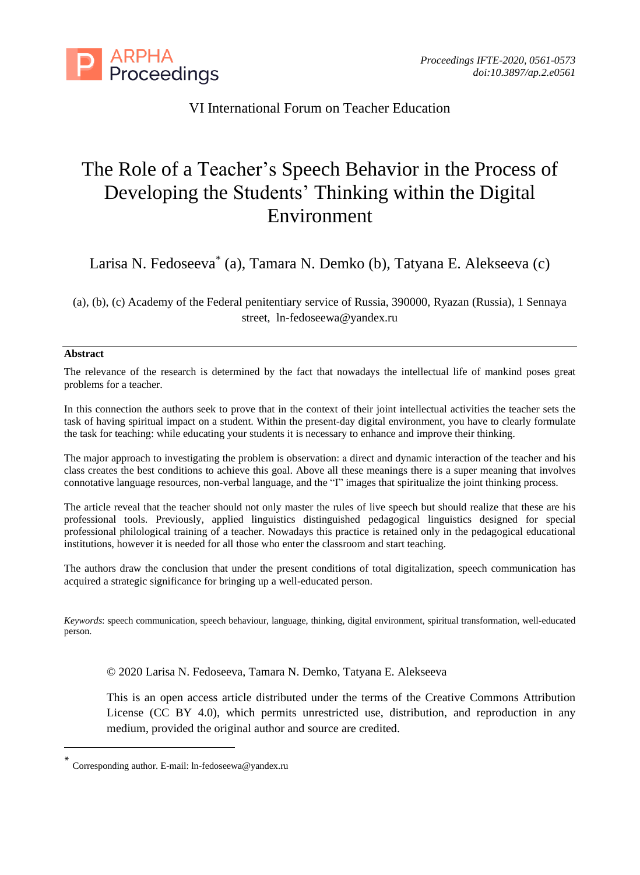

# VI International Forum on Teacher Education

# The Role of a Teacher's Speech Behavior in the Process of Developing the Students' Thinking within the Digital Environment

Larisa N. Fedoseeva\* (a), Tamara N. Demko (b), Tatyana E. Alekseeva (c)

(a), (b), (c) Academy of the Federal penitentiary service of Russia, 390000, Ryazan (Russia), 1 Sennaya street, ln-fedoseewa@yandex.ru

#### **Abstract**

The relevance of the research is determined by the fact that nowadays the intellectual life of mankind poses great problems for a teacher.

In this connection the authors seek to prove that in the context of their joint intellectual activities the teacher sets the task of having spiritual impact on a student. Within the present-day digital environment, you have to clearly formulate the task for teaching: while educating your students it is necessary to enhance and improve their thinking.

The major approach to investigating the problem is observation: а direct and dynamic interaction of the teacher and his class creates the best conditions to achieve this goal. Above all these meanings there is a super meaning that involves connotative language resources, non-verbal language, and the "I" images that spiritualize the joint thinking process.

The article reveal that the teacher should not only master the rules of live speech but should realize that these are his professional tools. Previously, applied linguistics distinguished pedagogical linguistics designed for special professional philological training of a teacher. Nowadays this practice is retained only in the pedagogical educational institutions, however it is needed for all those who enter the classroom and start teaching.

The authors draw the conclusion that under the present conditions of total digitalization, speech communication has acquired a strategic significance for bringing up a well-educated person.

*Keywords*: speech communication, speech behaviour, language, thinking, digital environment, spiritual transformation, well-educated person.

© 2020 Larisa N. Fedoseeva, Tamara N. Demko, Tatyana E. Alekseeva

This is an open access article distributed under the terms of the Creative Commons Attribution License (CC BY 4.0), which permits unrestricted use, distribution, and reproduction in any medium, provided the original author and source are credited.

<sup>\*</sup> Corresponding author. E-mail: ln-fedoseewa@yandex.ru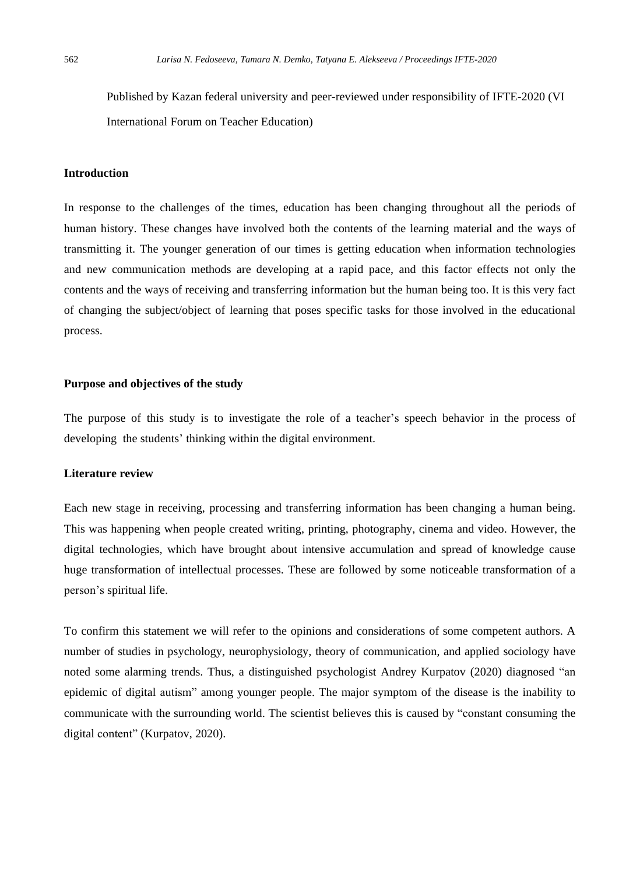Published by Kazan federal university and peer-reviewed under responsibility of IFTE-2020 (VI International Forum on Teacher Education)

#### **Introduction**

In response to the challenges of the times, education has been changing throughout all the periods of human history. These changes have involved both the contents of the learning material and the ways of transmitting it. The younger generation of our times is getting education when information technologies and new communication methods are developing at a rapid pace, and this factor effects not only the contents and the ways of receiving and transferring information but the human being too. It is this very fact of changing the subject/object of learning that poses specific tasks for those involved in the educational process.

#### **Purpose and objectives of the study**

The purpose of this study is to investigate the role of a teacher's speech behavior in the process of developing the students' thinking within the digital environment.

# **Literature review**

Each new stage in receiving, processing and transferring information has been changing a human being. This was happening when people created writing, printing, photography, cinema and video. However, the digital technologies, which have brought about intensive accumulation and spread of knowledge cause huge transformation of intellectual processes. These are followed by some noticeable transformation of a person's spiritual life.

To confirm this statement we will refer to the opinions and considerations of some competent authors. A number of studies in psychology, neurophysiology, theory of communication, and applied sociology have noted some alarming trends. Thus, a distinguished psychologist Andrey Kurpatov (2020) diagnosed "an epidemic of digital autism" among younger people. The major symptom of the disease is the inability to communicate with the surrounding world. The scientist believes this is caused by "constant consuming the digital content" (Kurpatov, 2020).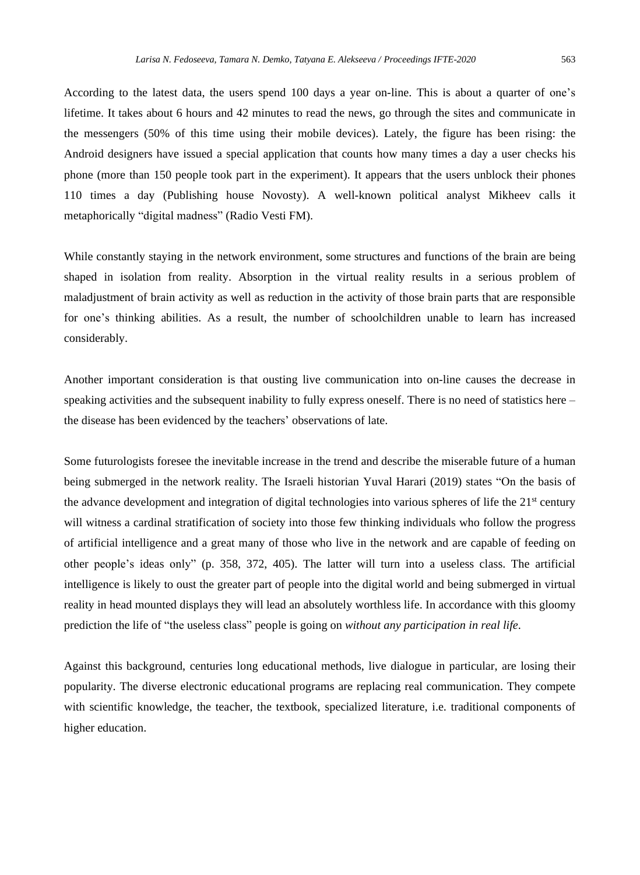According to the latest data, the users spend 100 days a year on-line. This is about a quarter of one's lifetime. It takes about 6 hours and 42 minutes to read the news, go through the sites and communicate in the messengers (50% of this time using their mobile devices). Lately, the figure has been rising: the Android designers have issued a special application that counts how many times a day a user checks his phone (more than 150 people took part in the experiment). It appears that the users unblock their phones 110 times a day (Publishing house Novosty). A well-known political analyst Mikheev calls it metaphorically "digital madness" (Radio Vesti FM).

While constantly staying in the network environment, some structures and functions of the brain are being shaped in isolation from reality. Absorption in the virtual reality results in a serious problem of maladjustment of brain activity as well as reduction in the activity of those brain parts that are responsible for one's thinking abilities. As a result, the number of schoolchildren unable to learn has increased considerably.

Another important consideration is that ousting live communication into on-line causes the decrease in speaking activities and the subsequent inability to fully express oneself. There is no need of statistics here – the disease has been evidenced by the teachers' observations of late.

Some futurologists foresee the inevitable increase in the trend and describe the miserable future of a human being submerged in the network reality. The Israeli historian Yuval Harari (2019) states "On the basis of the advance development and integration of digital technologies into various spheres of life the 21<sup>st</sup> century will witness a cardinal stratification of society into those few thinking individuals who follow the progress of artificial intelligence and a great many of those who live in the network and are capable of feeding on other people's ideas only" (p. 358, 372, 405). The latter will turn into a useless class. The artificial intelligence is likely to oust the greater part of people into the digital world and being submerged in virtual reality in head mounted displays they will lead an absolutely worthless life. In accordance with this gloomy prediction the life of "the useless class" people is going on *without any participation in real life*.

Against this background, centuries long educational methods, live dialogue in particular, are losing their popularity. The diverse electronic educational programs are replacing real communication. They compete with scientific knowledge, the teacher, the textbook, specialized literature, i.e. traditional components of higher education.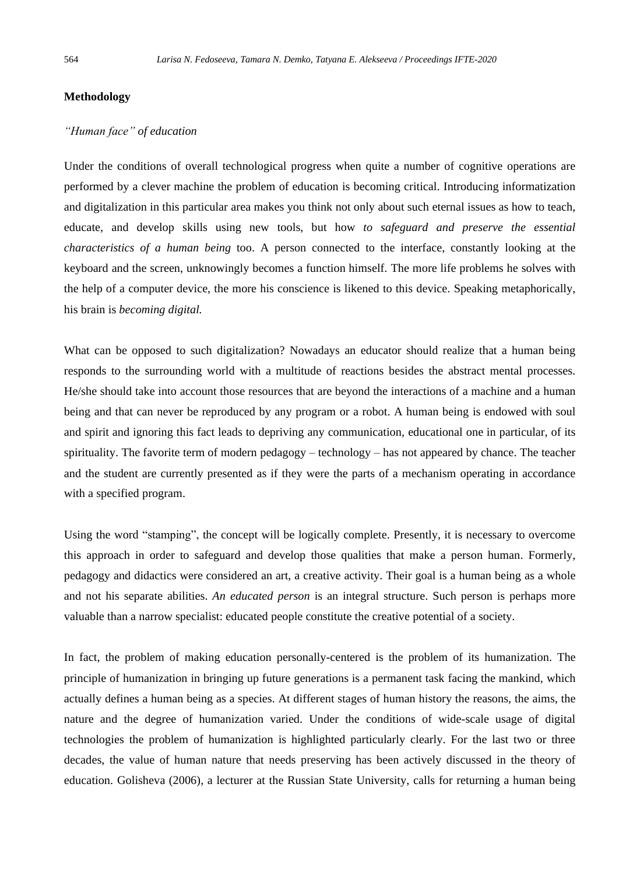## **Methodology**

# *"Human face" of education*

Under the conditions of overall technological progress when quite a number of cognitive operations are performed by a clever machine the problem of education is becoming critical. Introducing informatization and digitalization in this particular area makes you think not only about such eternal issues as how to teach, educate, and develop skills using new tools, but how *to safeguard and preserve the essential characteristics of a human being* too. A person connected to the interface, constantly looking at the keyboard and the screen, unknowingly becomes a function himself. The more life problems he solves with the help of a computer device, the more his conscience is likened to this device. Speaking metaphorically, his brain is *becoming digital.*

What can be opposed to such digitalization? Nowadays an educator should realize that a human being responds to the surrounding world with a multitude of reactions besides the abstract mental processes. He/she should take into account those resources that are beyond the interactions of a machine and a human being and that can never be reproduced by any program or a robot. A human being is endowed with soul and spirit and ignoring this fact leads to depriving any communication, educational one in particular, of its spirituality. The favorite term of modern pedagogy – technology – has not appeared by chance. The teacher and the student are currently presented as if they were the parts of a mechanism operating in accordance with a specified program.

Using the word "stamping", the concept will be logically complete. Presently, it is necessary to overcome this approach in order to safeguard and develop those qualities that make a person human. Formerly, pedagogy and didactics were considered an art, a creative activity. Their goal is a human being as a whole and not his separate abilities. *An educated person* is an integral structure. Such person is perhaps more valuable than a narrow specialist: educated people constitute the creative potential of a society.

In fact, the problem of making education personally-centered is the problem of its humanization. The principle of humanization in bringing up future generations is a permanent task facing the mankind, which actually defines a human being as a species. At different stages of human history the reasons, the aims, the nature and the degree of humanization varied. Under the conditions of wide-scale usage of digital technologies the problem of humanization is highlighted particularly clearly. For the last two or three decades, the value of human nature that needs preserving has been actively discussed in the theory of education. Golisheva (2006), a lecturer at the Russian State University, calls for returning a human being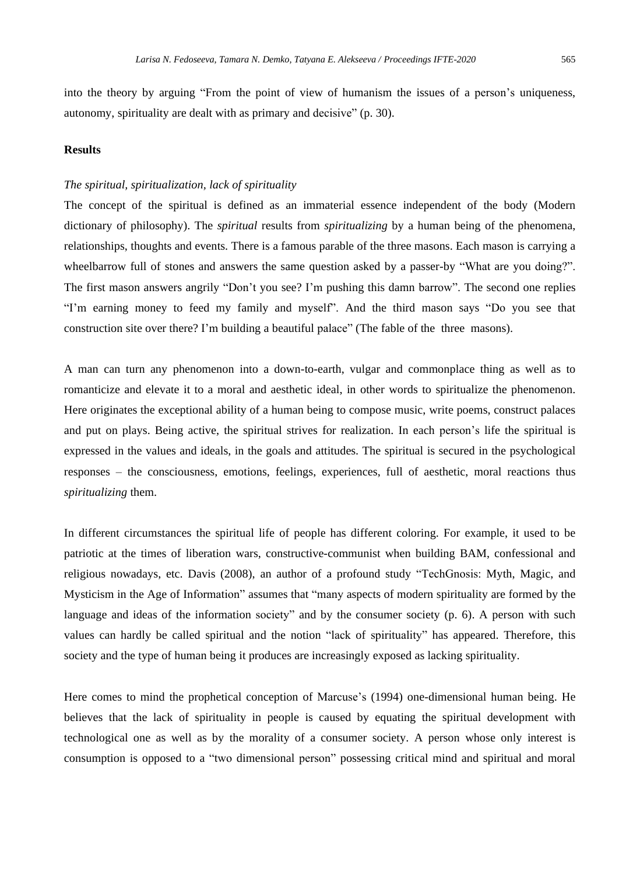into the theory by arguing "From the point of view of humanism the issues of a person's uniqueness, autonomy, spirituality are dealt with as primary and decisive" (p. 30).

#### **Results**

#### *The spiritual, spiritualization, lack of spirituality*

The concept of the spiritual is defined as an immaterial essence independent of the body (Modern dictionary of philosophy). The *spiritual* results from *spiritualizing* by a human being of the phenomena, relationships, thoughts and events. There is a famous parable of the three masons. Each mason is carrying a wheelbarrow full of stones and answers the same question asked by a passer-by "What are you doing?". The first mason answers angrily "Don't you see? I'm pushing this damn barrow". The second one replies "I'm earning money to feed my family and myself". And the third mason says "Do you see that construction site over there? I'm building a beautiful palace" (The fable of the three masons).

A man can turn any phenomenon into a down-to-earth, vulgar and commonplace thing as well as to romanticize and elevate it to a moral and aesthetic ideal, in other words to spiritualize the phenomenon. Here originates the exceptional ability of a human being to compose music, write poems, construct palaces and put on plays. Being active, the spiritual strives for realization. In each person's life the spiritual is expressed in the values and ideals, in the goals and attitudes. The spiritual is secured in the psychological responses – the consciousness, emotions, feelings, experiences, full of aesthetic, moral reactions thus *spiritualizing* them.

In different circumstances the spiritual life of people has different coloring. For example, it used to be patriotic at the times of liberation wars, constructive-communist when building BAM, confessional and religious nowadays, etc. Davis (2008), an author of a profound study "TechGnosis: Myth, Magic, and Mysticism in the Age of Information" assumes that "many aspects of modern spirituality are formed by the language and ideas of the information society" and by the consumer society (p. 6). A person with such values can hardly be called spiritual and the notion "lack of spirituality" has appeared. Therefore, this society and the type of human being it produces are increasingly exposed as lacking spirituality.

Here comes to mind the prophetical conception of Marcuse's (1994) one-dimensional human being. He believes that the lack of spirituality in people is caused by equating the spiritual development with technological one as well as by the morality of a consumer society. A person whose only interest is consumption is opposed to a "two dimensional person" possessing critical mind and spiritual and moral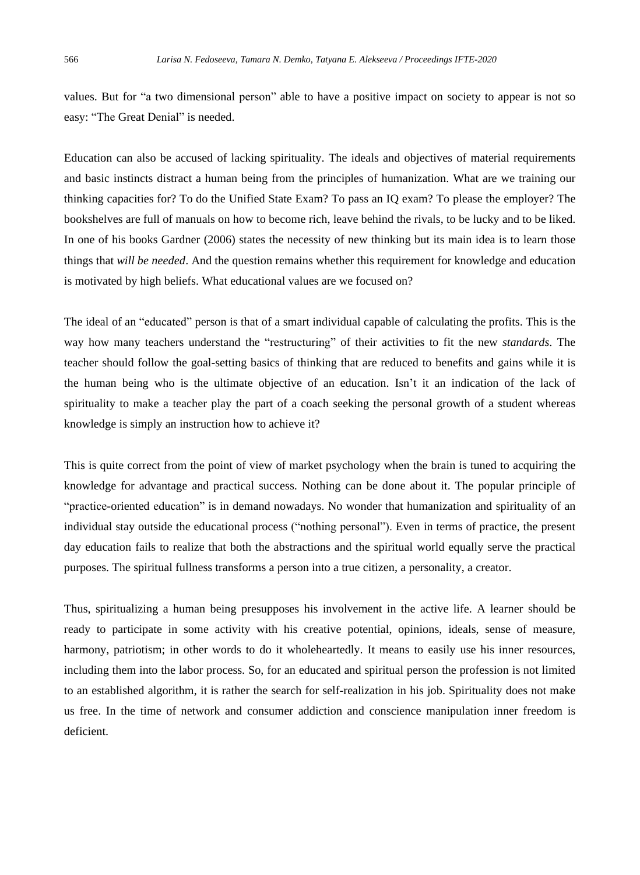values. But for "a two dimensional person" able to have a positive impact on society to appear is not so easy: "The Great Denial" is needed.

Education can also be accused of lacking spirituality. The ideals and objectives of material requirements and basic instincts distract a human being from the principles of humanization. What are we training our thinking capacities for? To do the Unified State Exam? To pass an IQ exam? To please the employer? The bookshelves are full of manuals on how to become rich, leave behind the rivals, to be lucky and to be liked. In one of his books Gardner (2006) states the necessity of new thinking but its main idea is to learn those things that *will be needed*. And the question remains whether this requirement for knowledge and education is motivated by high beliefs. What educational values are we focused on?

The ideal of an "educated" person is that of a smart individual capable of calculating the profits. This is the way how many teachers understand the "restructuring" of their activities to fit the new *standards*. The teacher should follow the goal-setting basics of thinking that are reduced to benefits and gains while it is the human being who is the ultimate objective of an education. Isn't it an indication of the lack of spirituality to make a teacher play the part of a coach seeking the personal growth of a student whereas knowledge is simply an instruction how to achieve it?

This is quite correct from the point of view of market psychology when the brain is tuned to acquiring the knowledge for advantage and practical success. Nothing can be done about it. The popular principle of "practice-oriented education" is in demand nowadays. No wonder that humanization and spirituality of an individual stay outside the educational process ("nothing personal"). Even in terms of practice, the present day education fails to realize that both the abstractions and the spiritual world equally serve the practical purposes. The spiritual fullness transforms a person into a true citizen, a personality, a creator.

Thus, spiritualizing a human being presupposes his involvement in the active life. A learner should be ready to participate in some activity with his creative potential, opinions, ideals, sense of measure, harmony, patriotism; in other words to do it wholeheartedly. It means to easily use his inner resources, including them into the labor process. So, for an educated and spiritual person the profession is not limited to an established algorithm, it is rather the search for self-realization in his job. Spirituality does not make us free. In the time of network and consumer addiction and conscience manipulation inner freedom is deficient.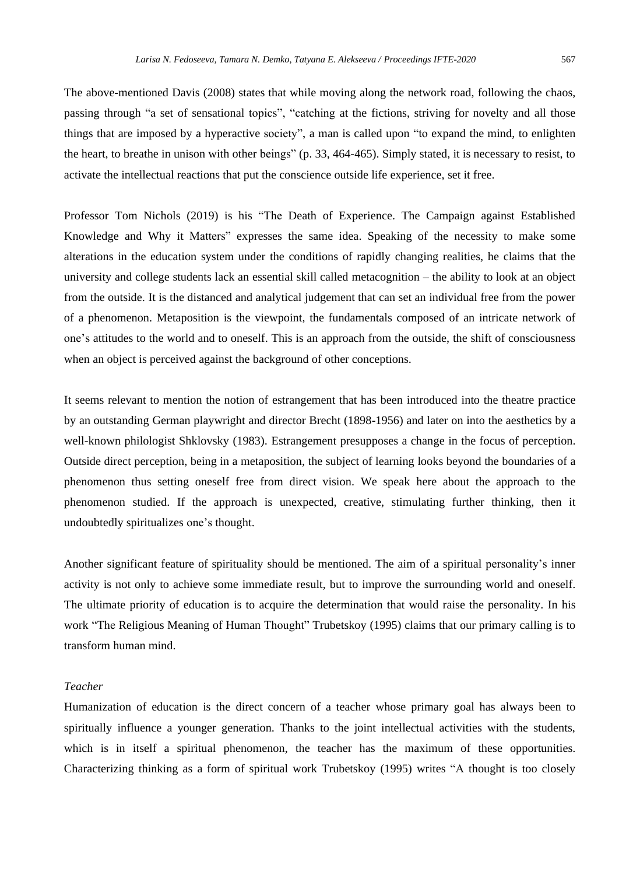The above-mentioned Davis (2008) states that while moving along the network road, following the chaos, passing through "a set of sensational topics", "catching at the fictions, striving for novelty and all those things that are imposed by a hyperactive society", a man is called upon "to expand the mind, to enlighten the heart, to breathe in unison with other beings" (p. 33, 464-465). Simply stated, it is necessary to resist, to activate the intellectual reactions that put the conscience outside life experience, set it free.

Professor Tom Nichols (2019) is his "The Death of Experience. The Campaign against Established Knowledge and Why it Matters" expresses the same idea. Speaking of the necessity to make some alterations in the education system under the conditions of rapidly changing realities, he claims that the university and college students lack an essential skill called metacognition – the ability to look at an object from the outside. It is the distanced and analytical judgement that can set an individual free from the power of a phenomenon. Metaposition is the viewpoint, the fundamentals composed of an intricate network of one's attitudes to the world and to oneself. This is an approach from the outside, the shift of consciousness when an object is perceived against the background of other conceptions.

It seems relevant to mention the notion of estrangement that has been introduced into the theatre practice by an outstanding German playwright and director Brecht (1898-1956) and later on into the aesthetics by a well-known philologist Shklovsky (1983). Estrangement presupposes a change in the focus of perception. Outside direct perception, being in a metaposition, the subject of learning looks beyond the boundaries of a phenomenon thus setting oneself free from direct vision. We speak here about the approach to the phenomenon studied. If the approach is unexpected, creative, stimulating further thinking, then it undoubtedly spiritualizes one's thought.

Another significant feature of spirituality should be mentioned. The aim of a spiritual personality's inner activity is not only to achieve some immediate result, but to improve the surrounding world and oneself. The ultimate priority of education is to acquire the determination that would raise the personality. In his work "The Religious Meaning of Human Thought" Trubetskoy (1995) claims that our primary calling is to transform human mind.

#### *Teacher*

Humanization of education is the direct concern of a teacher whose primary goal has always been to spiritually influence a younger generation. Thanks to the joint intellectual activities with the students, which is in itself a spiritual phenomenon, the teacher has the maximum of these opportunities. Characterizing thinking as a form of spiritual work Trubetskoy (1995) writes "A thought is too closely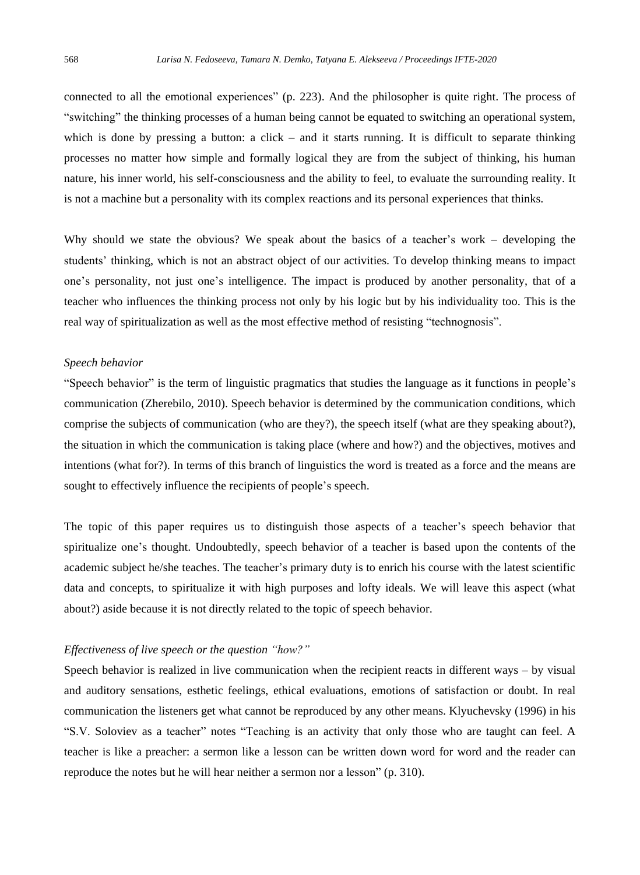connected to all the emotional experiences" (p. 223). And the philosopher is quite right. The process of "switching" the thinking processes of a human being cannot be equated to switching an operational system, which is done by pressing a button: a click – and it starts running. It is difficult to separate thinking processes no matter how simple and formally logical they are from the subject of thinking, his human nature, his inner world, his self-consciousness and the ability to feel, to evaluate the surrounding reality. It is not a machine but a personality with its complex reactions and its personal experiences that thinks.

Why should we state the obvious? We speak about the basics of a teacher's work – developing the students' thinking, which is not an abstract object of our activities. To develop thinking means to impact one's personality, not just one's intelligence. The impact is produced by another personality, that of a teacher who influences the thinking process not only by his logic but by his individuality too. This is the real way of spiritualization as well as the most effective method of resisting "technognosis".

#### *Speech behavior*

"Speech behavior" is the term of linguistic pragmatics that studies the language as it functions in people's communication (Zherebilo, 2010). Speech behavior is determined by the communication conditions, which comprise the subjects of communication (who are they?), the speech itself (what are they speaking about?), the situation in which the communication is taking place (where and how?) and the objectives, motives and intentions (what for?). In terms of this branch of linguistics the word is treated as a force and the means are sought to effectively influence the recipients of people's speech.

The topic of this paper requires us to distinguish those aspects of a teacher's speech behavior that spiritualize one's thought. Undoubtedly, speech behavior of a teacher is based upon the contents of the academic subject he/she teaches. The teacher's primary duty is to enrich his course with the latest scientific data and concepts, to spiritualize it with high purposes and lofty ideals. We will leave this aspect (what about?) aside because it is not directly related to the topic of speech behavior.

#### *Effectiveness of live speech or the question "how?"*

Speech behavior is realized in live communication when the recipient reacts in different ways – by visual and auditory sensations, esthetic feelings, ethical evaluations, emotions of satisfaction or doubt. In real communication the listeners get what cannot be reproduced by any other means. Klyuchevsky (1996) in his "S.V. Soloviev as a teacher" notes "Teaching is an activity that only those who are taught can feel. A teacher is like a preacher: a sermon like a lesson can be written down word for word and the reader can reproduce the notes but he will hear neither a sermon nor a lesson" (p. 310).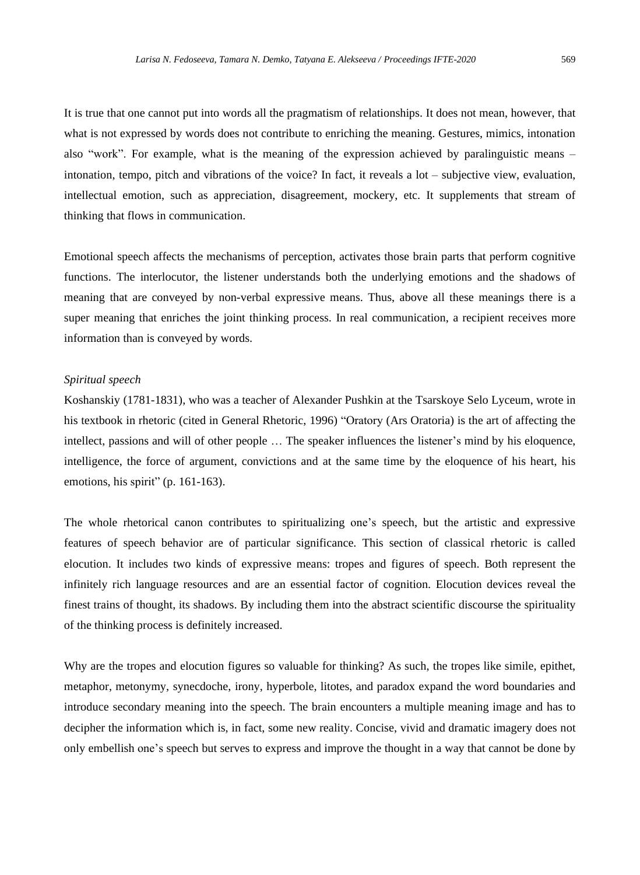It is true that one cannot put into words all the pragmatism of relationships. It does not mean, however, that what is not expressed by words does not contribute to enriching the meaning. Gestures, mimics, intonation also "work". For example, what is the meaning of the expression achieved by paralinguistic means – intonation, tempo, pitch and vibrations of the voice? In fact, it reveals a lot – subjective view, evaluation, intellectual emotion, such as appreciation, disagreement, mockery, etc. It supplements that stream of thinking that flows in communication.

Emotional speech affects the mechanisms of perception, activates those brain parts that perform cognitive functions. The interlocutor, the listener understands both the underlying emotions and the shadows of meaning that are conveyed by non-verbal expressive means. Thus, above all these meanings there is a super meaning that enriches the joint thinking process. In real communication, a recipient receives more information than is conveyed by words.

#### *Spiritual speech*

Koshanskiy (1781-1831), who was a teacher of Alexander Pushkin at the Tsarskoye Selo Lyceum, wrote in his textbook in rhetoric (cited in General Rhetoric, 1996) "Oratory (Ars Oratoria) is the art of affecting the intellect, passions and will of other people … The speaker influences the listener's mind by his eloquence, intelligence, the force of argument, convictions and at the same time by the eloquence of his heart, his emotions, his spirit" (p. 161-163).

The whole rhetorical canon contributes to spiritualizing one's speech, but the artistic and expressive features of speech behavior are of particular significance. This section of classical rhetoric is called elocution. It includes two kinds of expressive means: tropes and figures of speech. Both represent the infinitely rich language resources and are an essential factor of cognition. Elocution devices reveal the finest trains of thought, its shadows. By including them into the abstract scientific discourse the spirituality of the thinking process is definitely increased.

Why are the tropes and elocution figures so valuable for thinking? As such, the tropes like simile, epithet, metaphor, metonymy, synecdoche, irony, hyperbole, litotes, and paradox expand the word boundaries and introduce secondary meaning into the speech. The brain encounters a multiple meaning image and has to decipher the information which is, in fact, some new reality. Concise, vivid and dramatic imagery does not only embellish one's speech but serves to express and improve the thought in a way that cannot be done by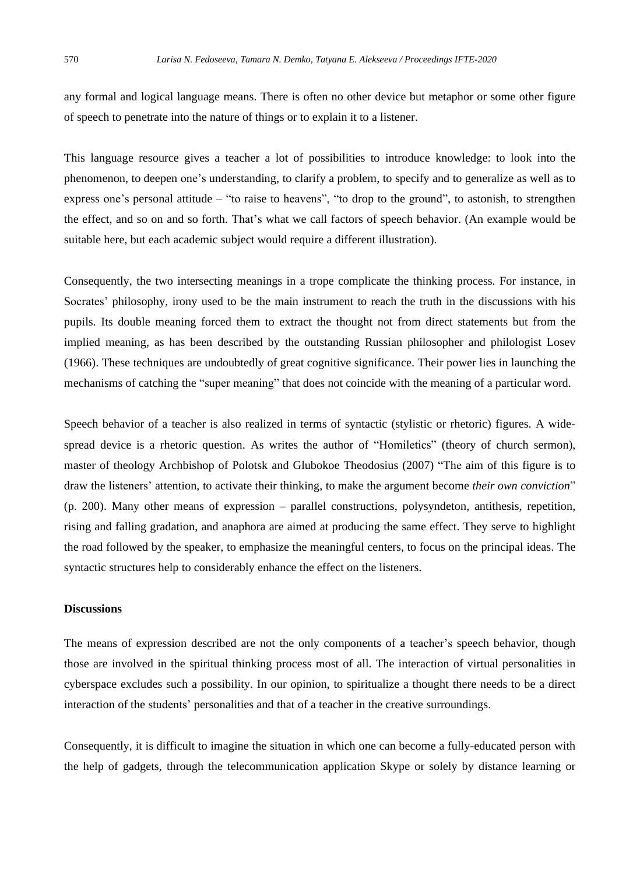any formal and logical language means. There is often no other device but metaphor or some other figure of speech to penetrate into the nature of things or to explain it to a listener.

This language resource gives a teacher a lot of possibilities to introduce knowledge: to look into the phenomenon, to deepen one's understanding, to clarify a problem, to specify and to generalize as well as to express one's personal attitude – "to raise to heavens", "to drop to the ground", to astonish, to strengthen the effect, and so on and so forth. That's what we call factors of speech behavior. (An example would be suitable here, but each academic subject would require a different illustration).

Consequently, the two intersecting meanings in a trope complicate the thinking process. For instance, in Socrates' philosophy, irony used to be the main instrument to reach the truth in the discussions with his pupils. Its double meaning forced them to extract the thought not from direct statements but from the implied meaning, as has been described by the outstanding Russian philosopher and philologist Losev (1966). These techniques are undoubtedly of great cognitive significance. Their power lies in launching the mechanisms of catching the "super meaning" that does not coincide with the meaning of a particular word.

Speech behavior of a teacher is also realized in terms of syntactic (stylistic or rhetoric) figures. A widespread device is a rhetoric question. As writes the author of "Homiletics" (theory of church sermon), master of theology Archbishop of Polotsk and Glubokoe Theodosius (2007) "The aim of this figure is to draw the listeners' attention, to activate their thinking, to make the argument become *their own conviction*" (p. 200). Many other means of expression – parallel constructions, polysyndeton, antithesis, repetition, rising and falling gradation, and anaphora are aimed at producing the same effect. They serve to highlight the road followed by the speaker, to emphasize the meaningful centers, to focus on the principal ideas. The syntactic structures help to considerably enhance the effect on the listeners.

## **Discussions**

The means of expression described are not the only components of a teacher's speech behavior, though those are involved in the spiritual thinking process most of all. The interaction of virtual personalities in cyberspace excludes such a possibility. In our opinion, to spiritualize a thought there needs to be a direct interaction of the students' personalities and that of a teacher in the creative surroundings.

Consequently, it is difficult to imagine the situation in which one can become a fully-educated person with the help of gadgets, through the telecommunication application Skype or solely by distance learning or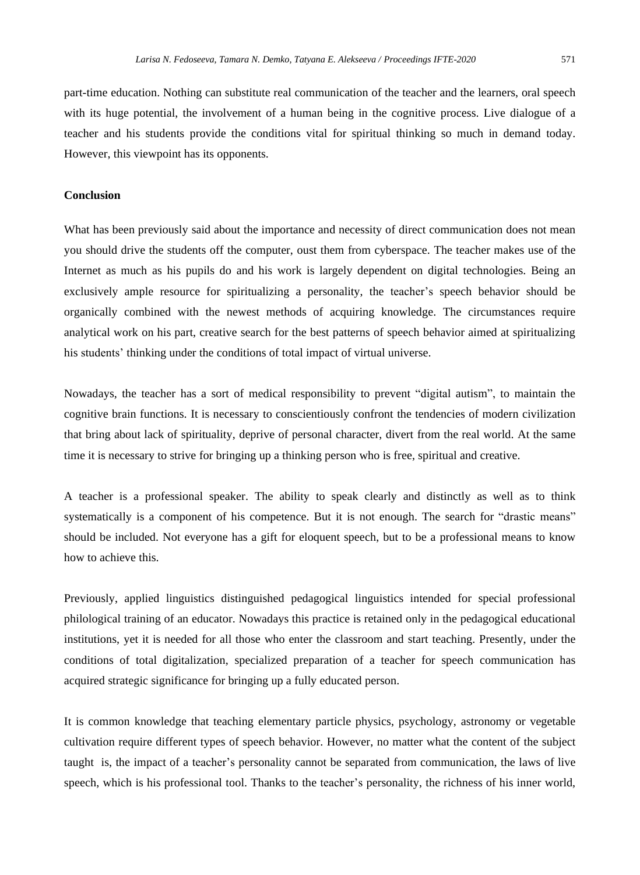part-time education. Nothing can substitute real communication of the teacher and the learners, oral speech with its huge potential, the involvement of a human being in the cognitive process. Live dialogue of a teacher and his students provide the conditions vital for spiritual thinking so much in demand today. However, this viewpoint has its opponents.

#### **Conclusion**

What has been previously said about the importance and necessity of direct communication does not mean you should drive the students off the computer, oust them from cyberspace. The teacher makes use of the Internet as much as his pupils do and his work is largely dependent on digital technologies. Being an exclusively ample resource for spiritualizing a personality, the teacher's speech behavior should be organically combined with the newest methods of acquiring knowledge. The circumstances require analytical work on his part, creative search for the best patterns of speech behavior aimed at spiritualizing his students' thinking under the conditions of total impact of virtual universe.

Nowadays, the teacher has a sort of medical responsibility to prevent "digital autism", to maintain the cognitive brain functions. It is necessary to conscientiously confront the tendencies of modern civilization that bring about lack of spirituality, deprive of personal character, divert from the real world. At the same time it is necessary to strive for bringing up a thinking person who is free, spiritual and creative.

A teacher is a professional speaker. The ability to speak clearly and distinctly as well as to think systematically is a component of his competence. But it is not enough. The search for "drastic means" should be included. Not everyone has a gift for eloquent speech, but to be a professional means to know how to achieve this.

Previously, applied linguistics distinguished pedagogical linguistics intended for special professional philological training of an educator. Nowadays this practice is retained only in the pedagogical educational institutions, yet it is needed for all those who enter the classroom and start teaching. Presently, under the conditions of total digitalization, specialized preparation of a teacher for speech communication has acquired strategic significance for bringing up a fully educated person.

It is common knowledge that teaching elementary particle physics, psychology, astronomy or vegetable cultivation require different types of speech behavior. However, no matter what the content of the subject taught is, the impact of a teacher's personality cannot be separated from communication, the laws of live speech, which is his professional tool. Thanks to the teacher's personality, the richness of his inner world,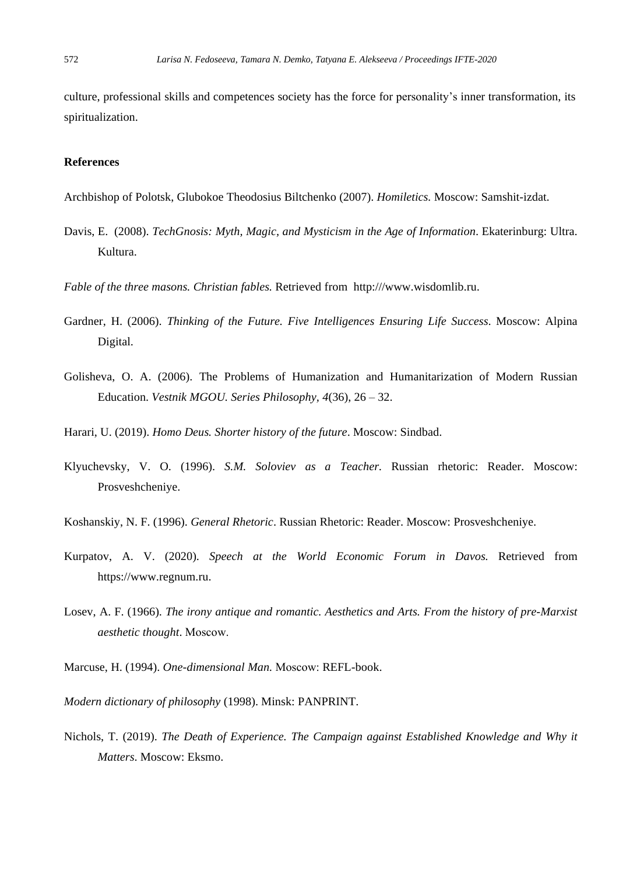culture, professional skills and competences society has the force for personality's inner transformation, its spiritualization.

#### **References**

Archbishop of Polotsk, Glubokoe Theodosius Biltchenko (2007). *Homiletics.* Moscow: Samshit-izdat.

Davis, E. (2008). *TechGnosis: Myth, Magic, and Mysticism in the Age of Information*. Ekaterinburg: Ultra. Kultura.

*Fable of the three masons. Christian fables.* Retrieved from http:///www.wisdomlib.ru.

- Gardner, H. (2006). *Thinking of the Future. Five Intelligences Ensuring Life Success*. Moscow: Alpina Digital.
- Golisheva, O. A. (2006). The Problems of Humanization and Humanitarization of Modern Russian Education. *Vestnik MGOU. Series Philosophy, 4*(36), 26 – 32.
- Harari, U. (2019). *Homo Deus. Shorter history of the future*. Moscow: Sindbad.
- Klyuchevsky, V. O. (1996). *S.M. Soloviev as a Teacher.* Russian rhetoric: Reader. Moscow: Prosveshcheniye.
- Koshanskiy, N. F. (1996). *General Rhetoric*. Russian Rhetoric: Reader. Moscow: Prosveshcheniye.
- Kurpatov, A. V. (2020). *Speech at the World Economic Forum in Davos.* Retrieved from https://www.regnum.ru.
- Losev, A. F. (1966). *The irony antique and romantic. Aesthetics and Arts. From the history of pre-Marxist aesthetic thought*. Мoscow.
- Marcuse, H. (1994). *One-dimensional Man.* Мoscow: REFL-book.

*Modern dictionary of philosophy* (1998). Minsk: PANPRINT.

Nichols, T. (2019). *The Death of Experience. The Campaign against Established Knowledge and Why it Matters*. Moscow: Eksmo.